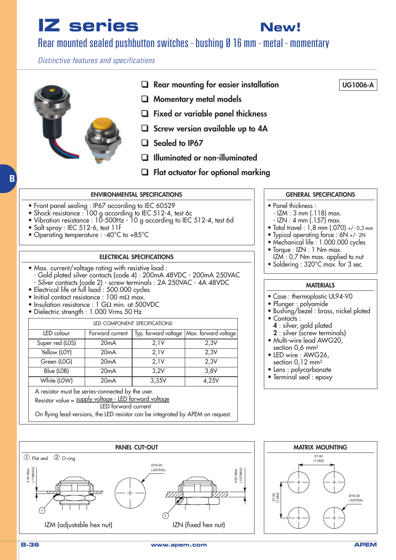**New!**

### Rear mounted sealed pushbutton switches - bushing Ø 16 mm - metal - momentary

Distinctive features and specifications



#### **ENVIRONMENTAL SPECIFICATIONS**

- Front panel sealing : IP67 according to IEC 60529
- Shock resistance : 100 g according to IEC 512-4, test 6c
- Vibration resistance : 10-500Hz 10 g according to IEC 512-4, test 6d
- Salt spray : IEC 512-6, test 11f

**B**

• Operating temperature : -40°C to +85°C

#### **ELECTRICAL SPECIFICATIONS**

- Max. current/voltage rating with resistive load : - Gold plated silver contacts (code 4) : 200mA 48VDC - 200mA 250VAC
- Silver contacts (code 2) screw terminals : 2A 250VAC 4A 48VDC
- Electrical life at full load : 500.000 cycles
- Initial contact resistance : 100 mΩ max.
- Insulation resistance : 1 GΩ min. at 500VDC
- Dielectric strength : 1.000 Vrms 50 Hz

| LED COMPONENT SPECIFICATIONS                                                                                                     |                   |                      |                      |  |  |  |
|----------------------------------------------------------------------------------------------------------------------------------|-------------------|----------------------|----------------------|--|--|--|
| LED colour                                                                                                                       | Forward current   | Typ. forward voltage | Max. forward voltage |  |  |  |
| Super red (LOS)                                                                                                                  | 20 <sub>m</sub> A | 2,1V                 | 2,3V                 |  |  |  |
| Yellow (LOY)                                                                                                                     | 20 <sub>m</sub> A | 2,1V                 | 2,3V                 |  |  |  |
| Green (LOG)                                                                                                                      | 20 <sub>m</sub> A | 2,1V                 | 2,3V                 |  |  |  |
| Blue (LOB)                                                                                                                       | 20 <sub>m</sub> A | 3,2V                 | 3,8V                 |  |  |  |
| White (LOW)                                                                                                                      | 20 <sub>m</sub> A | 3,35V                | 4,25V                |  |  |  |
| A resistor must be series-connected by the user.<br>Resistor value = supply voltage - LED forward voltage<br>LED forward current |                   |                      |                      |  |  |  |
| On flying lead versions, the LED resistor can be integrated by APEM on request.                                                  |                   |                      |                      |  |  |  |

#### **GENERAL SPECIFICATIONS**

**UG1006-A**

- Panel thickness :
	- IZM : 3 mm (.118) max.
	- IZN : 4 mm (.157) max.
- Total travel : 1,8 mm (.070) +/- 0,3 mm
- Typical operating force : 6N +/- 2N
- Mechanical life : 1.000.000 cycles
- Torque : IZN : 1 Nm max. IZM : 0,7 Nm max. applied to nut
- Soldering : 320°C max. for 3 sec.

#### **MATERIALS**

- Case : thermoplastic UL94-V0
- Plunger : polyamide
- Bushing/bezel: brass, nickel plated
- Contacts :
	- **4** : silver, gold plated
- **2** : silver (screw terminals) • Multi-wire lead AWG20,
- section 0,6 mm<sup>2</sup>
- LED wire : AWG26, section 0,12 mm<sup>2</sup>
- Lens : polycarbonate
- Terminal seal : epoxy



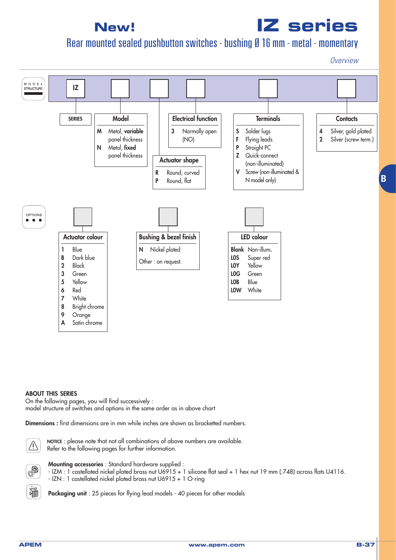# **IZ series**

## Rear mounted sealed pushbutton switches - bushing Ø 16 mm - metal - momentary

**Overview** 



#### **ABOUT THIS SERIES**

On the following pages, you will find successively : model structure of switches and options in the same order as in above chart

**Dimensions :** first dimensions are in mm while inches are shown as bracketted numbers.



**NOTICE** : please note that not all combinations of above numbers are available. Refer to the following pages for further information.



输

**Mounting accessories** : Standard hardware supplied : - IZM : 1 castellated nickel plated brass nut U6915 + 1 silicone flat seal + 1 hex nut 19 mm (.748) across flats U4116. - IZN : 1 castellated nickel plated brass nut U6915 + 1 O-ring

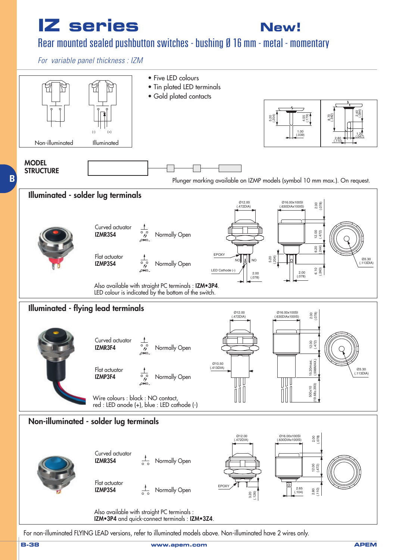**New!**

## Rear mounted sealed pushbutton switches - bushing Ø 16 mm - metal - momentary

For variable panel thickness : IZM



For non-illuminated FLYING LEAD versions, refer to illuminated models above. Non-illuminated have 2 wires only.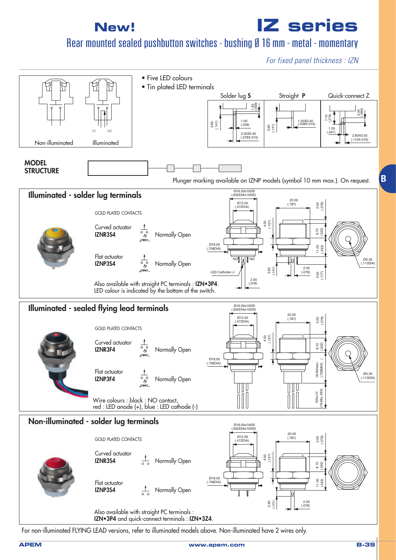**IZ series**

## Rear mounted sealed pushbutton switches - bushing Ø 16 mm - metal - momentary

For fixed panel thickness : IZN



For non-illuminated FLYING LEAD versions, refer to illuminated models above. Non-illuminated have 2 wires only.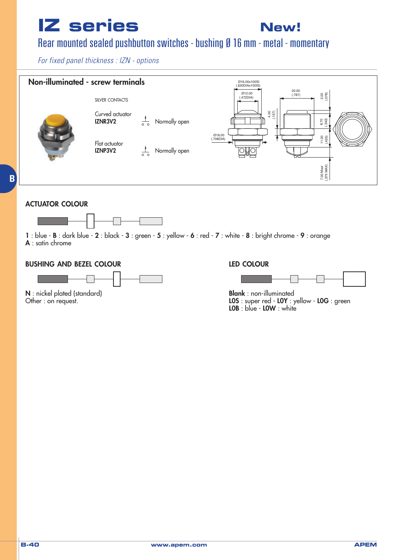

### Rear mounted sealed pushbutton switches - bushing Ø 16 mm - metal - momentary

For fixed panel thickness : IZN - options



#### **ACTUATOR COLOUR**

**B**



**1** : blue - **B** : dark blue - **2** : black - **3** : green - **5** : yellow - **6** : red - **7** : white - **8** : bright chrome - **9** : orange **A** : satin chrome

#### **BUSHING AND BEZEL COLOUR**



**N** : nickel plated (standard) Other : on request.

#### **LED COLOUR**



**Blank** : non-illuminated **L0S** : super red - **L0Y** : yellow - **L0G** : green **L0B** : blue - **L0W** : white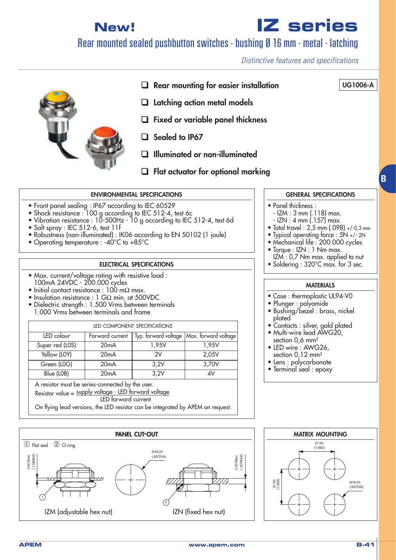**IZ series**

### Rear mounted sealed pushbutton switches - bushing Ø 16 mm - metal - latching

Distinctive features and specifications

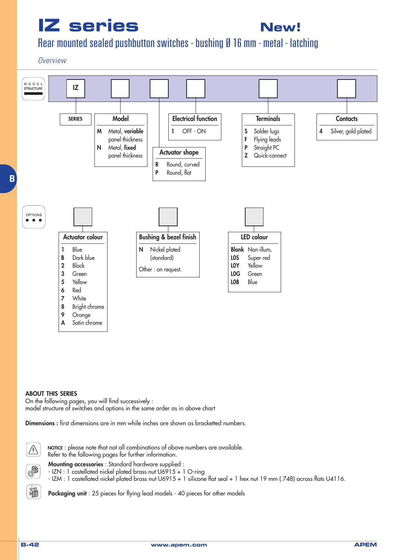# **New!**

## Rear mounted sealed pushbutton switches - bushing Ø 16 mm - metal - latching

#### **Overview**



#### **ABOUT THIS SERIES**

On the following pages, you will find successively : model structure of switches and options in the same order as in above chart

**Dimensions :** first dimensions are in mm while inches are shown as bracketted numbers.



**NOTICE** : please note that not all combinations of above numbers are available. Refer to the following pages for further information.



疝

**Mounting accessories** : Standard hardware supplied :



- IZN : 1 castellated nickel plated brass nut U6915 + 1 O-ring



**Packaging unit** : 25 pieces for flying lead models - 40 pieces for other models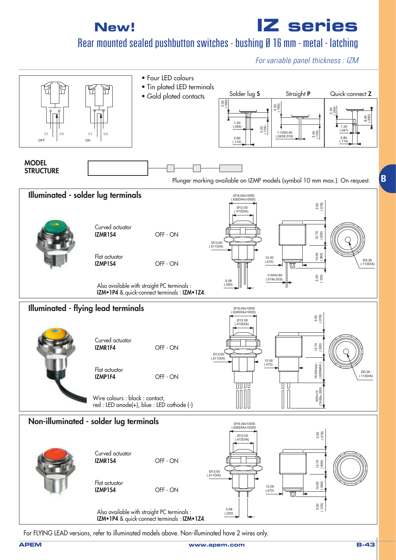**IZ series**

Rear mounted sealed pushbutton switches - bushing Ø 16 mm - metal - latching

For variable panel thickness : IZM



For FLYING LEAD versions, refer to illuminated models above. Non-illuminated have 2 wires only.

**B**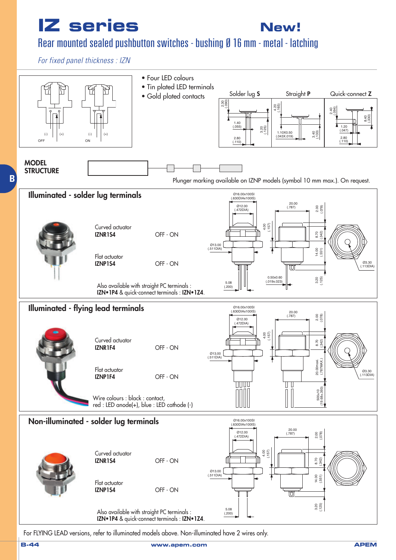**New!**

### Rear mounted sealed pushbutton switches - bushing Ø 16 mm - metal - latching

For fixed panel thickness : IZN



For FLYING LEAD versions, refer to illuminated models above. Non-illuminated have 2 wires only.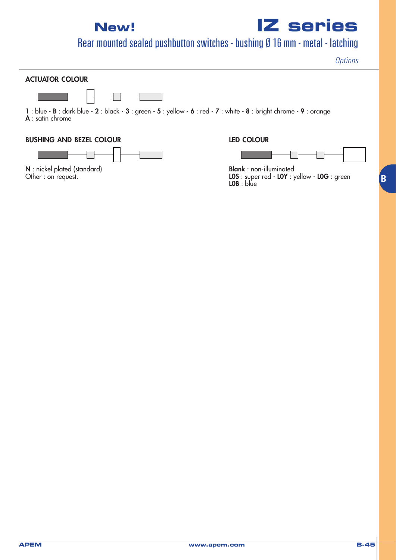**IZ series**

## Rear mounted sealed pushbutton switches - bushing Ø 16 mm - metal - latching

**Options** 

**B**

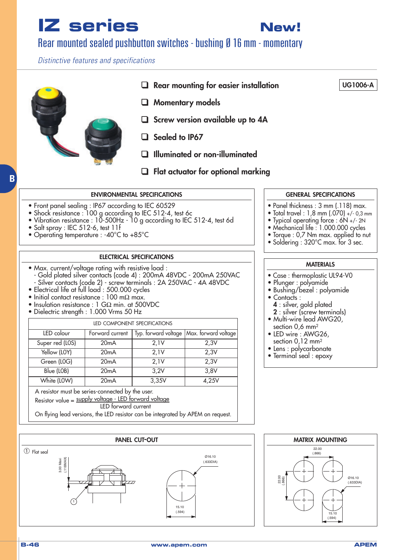**New!**

## Rear mounted sealed pushbutton switches - bushing Ø 16 mm - momentary

Distinctive features and specifications

# ❑ **Rear mounting for easier installation** ❑ **Momentary models** ❑ **Screw version available up to 4A** ❑ **Sealed to IP67** ❑ **Illuminated or non-illuminated** ❑ **Flat actuator for optional marking UG1006-A**

#### **ENVIRONMENTAL SPECIFICATIONS**

- Front panel sealing : IP67 according to IEC 60529
- Shock resistance : 100 g according to IEC 512-4, test 6c
- Vibration resistance : 10-500Hz 10 g according to IEC 512-4, test 6d
- Salt spray : IEC 512-6, test 11f
- Operating temperature : -40°C to +85°C

#### **ELECTRICAL SPECIFICATIONS**

- Max. current/voltage rating with resistive load : - Gold plated silver contacts (code 4) : 200mA 48VDC - 200mA 250VAC
- Silver contacts (code 2) screw terminals : 2A 250VAC 4A 48VDC • Electrical life at full load : 500.000 cycles
- Initial contact resistance : 100 mΩ max.
- Insulation resistance : 1 GΩ min. at 500VDC
- Dielectric strength : 1.000 Vrms 50 Hz
- 

| LED COMPONENT SPECIFICATIONS                          |                   |       |                                             |  |  |
|-------------------------------------------------------|-------------------|-------|---------------------------------------------|--|--|
| LED colour                                            | Forward current   |       | Typ. forward voltage   Max. forward voltage |  |  |
| Super red (LOS)                                       | 20mA              | 2,1V  | 2,3V                                        |  |  |
| Yellow (LOY)                                          | 20 <sub>m</sub> A | 2,1V  | 2,3V                                        |  |  |
| Green (LOG)                                           | 20 <sub>m</sub> A | 2,1V  | 2,3V                                        |  |  |
| Blue (LOB)                                            | 20 <sub>m</sub> A | 3,2V  | 3,8V                                        |  |  |
| White (LOW)                                           | 20mA              | 3,35V | 4,25V                                       |  |  |
| A resistor must be series-connected by the user.      |                   |       |                                             |  |  |
| Resistor value = supply voltage - LED forward voltage |                   |       |                                             |  |  |
| LED forward current                                   |                   |       |                                             |  |  |

On flying lead versions, the LED resistor can be integrated by APEM on request.



# section 0,6 mm2 section 0,12 mm2

- 
- 

### (.866)  $22.00$ 22.00 (.866) Ø16.10 (.633DIA) 15.10 (.594)

**GENERAL SPECIFICATIONS**

- Panel thickness : 3 mm (.118) max.
- Total travel : 1,8 mm (.070) +/- 0,3 mm
- Typical operating force : 6N +/- 2N
- Mechanical life : 1.000.000 cycles
- Torque : 0,7 Nm max. applied to nut
- Soldering : 320°C max. for 3 sec.

#### **MATERIALS**

- Case : thermoplastic UL94-V0
- Plunger : polyamide
- Bushing/bezel : polyamide
- Contacts :
	- **4** : silver, gold plated
- **2** : silver (screw terminals) • Multi-wire lead AWG20,
- LED wire : AWG26,
- Lens : polycarbonate
- Terminal seal : epoxy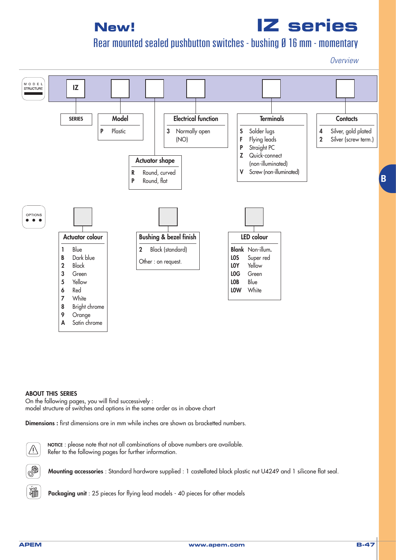# **IZ series**

## Rear mounted sealed pushbutton switches - bushing Ø 16 mm - momentary

**Overview** 



#### **ABOUT THIS SERIES**

On the following pages, you will find successively : model structure of switches and options in the same order as in above chart

**Dimensions :** first dimensions are in mm while inches are shown as bracketted numbers.



**NOTICE** : please note that not all combinations of above numbers are available. Refer to the following pages for further information.



**Mounting accessories** : Standard hardware supplied : 1 castellated black plastic nut U4249 and 1 silicone flat seal.



**Packaging unit** : 25 pieces for flying lead models - 40 pieces for other models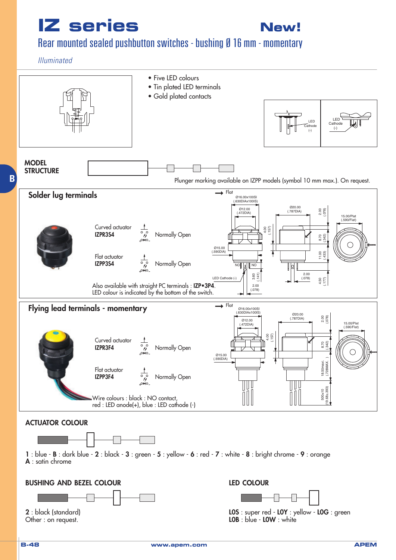**New!**

### Rear mounted sealed pushbutton switches - bushing Ø 16 mm - momentary

#### Illuminated

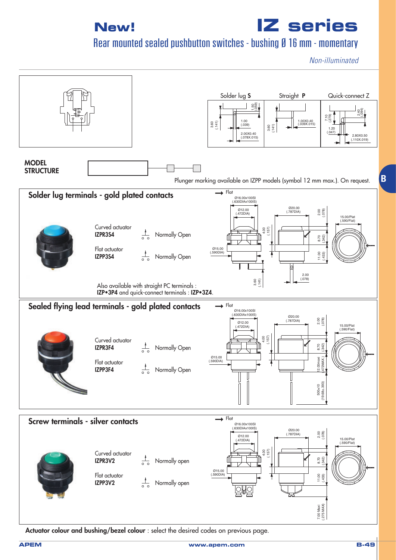**IZ series**

Rear mounted sealed pushbutton switches - bushing Ø 16 mm - momentary

Non-illuminated

**B**



**Actuator colour and bushing/bezel colour** : select the desired codes on previous page.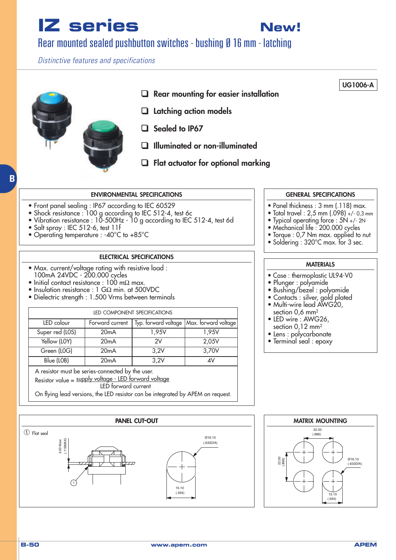**New!**

## Rear mounted sealed pushbutton switches - bushing Ø 16 mm - latching

Distinctive features and specifications

# ❑ **Rear mounting for easier installation** ❑ **Latching action models**  ❑ **Sealed to IP67** ❑ **Illuminated or non-illuminated** ❑ **Flat actuator for optional marking UG1006-A**

#### **ENVIRONMENTAL SPECIFICATIONS**

- Front panel sealing : IP67 according to IEC 60529
- Shock resistance : 100 g according to IEC 512-4, test 6c
- Vibration resistance : 10-500Hz 10 g according to IEC 512-4, test 6d
- Salt spray : IEC 512-6, test 11f
- Operating temperature : -40°C to +85°C

#### **ELECTRICAL SPECIFICATIONS**

- Max. current/voltage rating with resistive load : 100mA 24VDC - 200.000 cycles
- Initial contact resistance :  $100 \text{ mA}$  max.
- Insulation resistance : 1 GΩ min. at 500VDC
- Dielectric strength : 1.500 Vrms between terminals

| LED COMPONENT SPECIFICATIONS |                 |       |                                             |  |  |
|------------------------------|-----------------|-------|---------------------------------------------|--|--|
| LED colour                   | Forward current |       | Typ. forward voltage   Max. forward voltage |  |  |
| Super red (LOS)              | 20mA            | 1,95V | 1,95V                                       |  |  |
| Yellow (LOY)                 | 20mA            | 2V    | 2,05V                                       |  |  |
| Green (LOG)                  | 20mA            | 3.2V  | 3,70V                                       |  |  |
| Blue (LOB)                   | 20mA            | 3,2V  | 4V                                          |  |  |

A resistor must be series-connected by the user.

Resistor value = supply voltage - LED forward voltage LED forward current

On flying lead versions, the LED resistor can be integrated by APEM on request.



# (.866) 22.00 22.00 (.866) Ø16.10 (.633DIA) 15.10 (.594)

#### **GENERAL SPECIFICATIONS**

- Panel thickness : 3 mm (.118) max.
- Total travel : 2,5 mm (.098) +/- 0,3 mm
- Typical operating force : 5N +/- 2N
- Mechanical life : 200.000 cycles
- Torque : 0,7 Nm max. applied to nut
- Soldering : 320°C max. for 3 sec.

#### **MATERIALS**

- Case : thermoplastic UL94-V0
- Plunger : polyamide
- Bushing/bezel : polyamide
- Contacts : silver, gold plated
- Multi-wire lead AWG20, section 0,6 mm2
- LED wire : AWG26, section 0,12 mm2
- Lens : polycarbonate
- Terminal seal : epoxy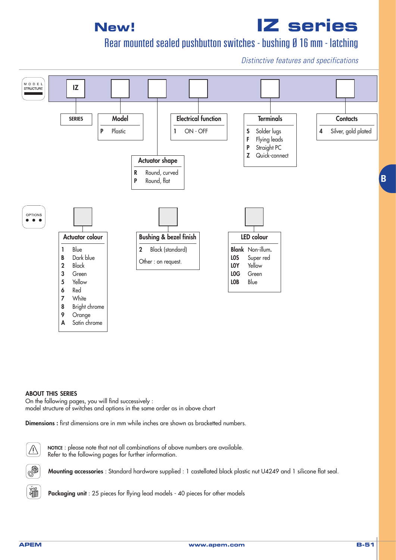# **IZ series**

Rear mounted sealed pushbutton switches - bushing Ø 16 mm - latching

Distinctive features and specifications



#### **ABOUT THIS SERIES**

On the following pages, you will find successively : model structure of switches and options in the same order as in above chart

**Dimensions :** first dimensions are in mm while inches are shown as bracketted numbers.



**NOTICE** : please note that not all combinations of above numbers are available. Refer to the following pages for further information.

**Mounting accessories** : Standard hardware supplied : 1 castellated black plastic nut U4249 and 1 silicone flat seal.



Q

**Packaging unit** : 25 pieces for flying lead models - 40 pieces for other models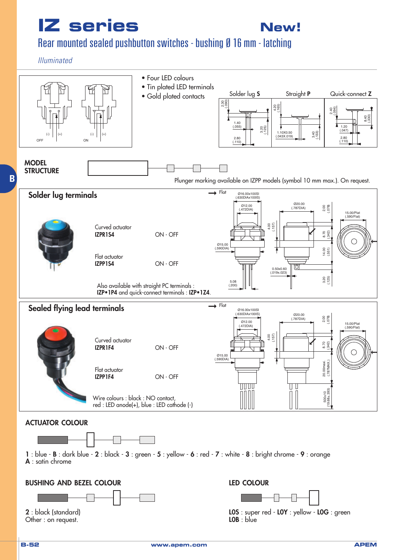

### Rear mounted sealed pushbutton switches - bushing Ø 16 mm - latching

#### Illuminated

**B**

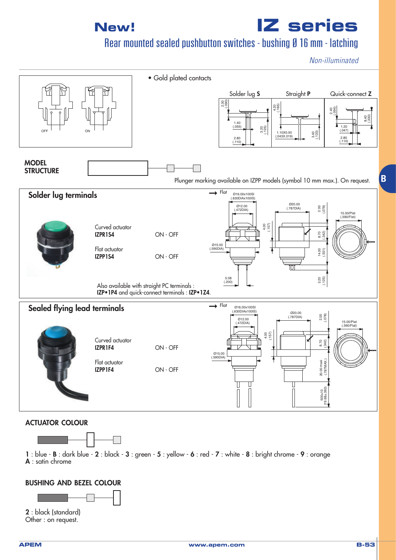

Rear mounted sealed pushbutton switches - bushing Ø 16 mm - latching

Non-illuminated



#### **ACTUATOR COLOUR**



**1** : blue - **B** : dark blue - **2** : black - **3** : green - **5** : yellow - **6** : red - **7** : white - **8** : bright chrome - **9** : orange **A** : satin chrome

#### **BUSHING AND BEZEL COLOUR**